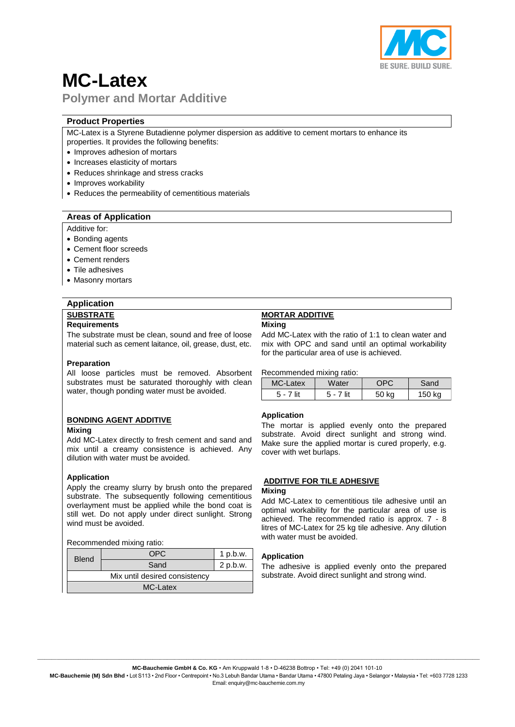

# **MC-Latex Polymer and Mortar Additive**

### **Product Properties**

MC-Latex is a Styrene Butadienne polymer dispersion as additive to cement mortars to enhance its properties. It provides the following benefits:

- Improves adhesion of mortars
- Increases elasticity of mortars
- Reduces shrinkage and stress cracks
- Improves workability
- Reduces the permeability of cementitious materials

#### **Areas of Application**

#### Additive for:

- Bonding agents
- Cement floor screeds
- Cement renders
- Tile adhesives
- Masonry mortars

# **Application SUBSTRATE**

#### **Requirements**

The substrate must be clean, sound and free of loose material such as cement laitance, oil, grease, dust, etc.

#### **Preparation**

All loose particles must be removed. Absorbent substrates must be saturated thoroughly with clean water, though ponding water must be avoided.

#### **BONDING AGENT ADDITIVE**

#### **Mixing**

Add MC-Latex directly to fresh cement and sand and mix until a creamy consistence is achieved. Any dilution with water must be avoided.

#### **Application**

Apply the creamy slurry by brush onto the prepared substrate. The subsequently following cementitious overlayment must be applied while the bond coat is still wet. Do not apply under direct sunlight. Strong wind must be avoided.

#### Recommended mixing ratio:

| <b>Blend</b>                  | OPU  | $1$ p.b.w. |  |  |
|-------------------------------|------|------------|--|--|
|                               | Sand | 2 p.b.w.   |  |  |
| Mix until desired consistency |      |            |  |  |
| MC-Latex                      |      |            |  |  |

# **MORTAR ADDITIVE**

# **Mixing**

Add MC-Latex with the ratio of 1:1 to clean water and mix with OPC and sand until an optimal workability for the particular area of use is achieved.

Recommended mixing ratio:

| MC-Latex  | Water       | DPC   | Sand   |  |  |
|-----------|-------------|-------|--------|--|--|
| 5 - 7 lit | $5 - 7$ lit | 50 kg | 150 kg |  |  |

#### **Application**

The mortar is applied evenly onto the prepared substrate. Avoid direct sunlight and strong wind. Make sure the applied mortar is cured properly, e.g. cover with wet burlaps.

#### **ADDITIVE FOR TILE ADHESIVE**

#### **Mixing**

Add MC-Latex to cementitious tile adhesive until an optimal workability for the particular area of use is achieved. The recommended ratio is approx. 7 - 8 litres of MC-Latex for 25 kg tile adhesive. Any dilution with water must be avoided.

#### **Application**

The adhesive is applied evenly onto the prepared substrate. Avoid direct sunlight and strong wind.

 $\_$  , and the set of the set of the set of the set of the set of the set of the set of the set of the set of the set of the set of the set of the set of the set of the set of the set of the set of the set of the set of th